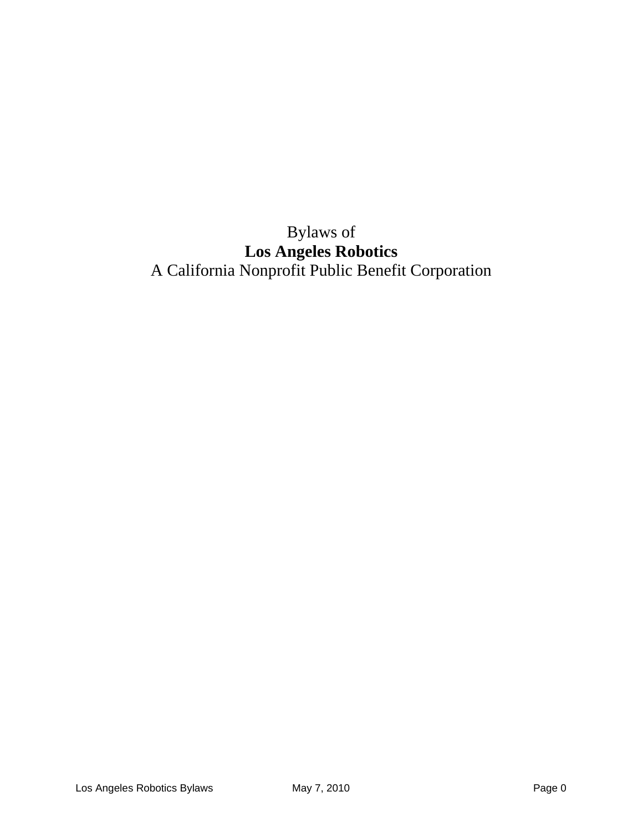# Bylaws of **Los Angeles Robotics** A California Nonprofit Public Benefit Corporation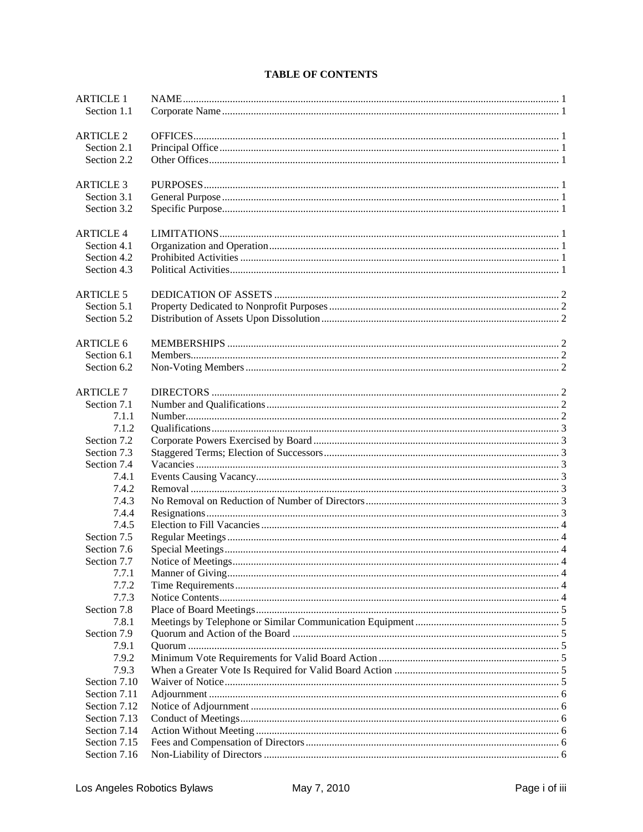### **TABLE OF CONTENTS**

| <b>ARTICLE 1</b>     |  |
|----------------------|--|
| Section 1.1          |  |
|                      |  |
| <b>ARTICLE 2</b>     |  |
| Section 2.1          |  |
| Section 2.2          |  |
|                      |  |
| <b>ARTICLE 3</b>     |  |
| Section 3.1          |  |
| Section 3.2          |  |
|                      |  |
| <b>ARTICLE 4</b>     |  |
| Section 4.1          |  |
| Section 4.2          |  |
| Section 4.3          |  |
|                      |  |
| <b>ARTICLE 5</b>     |  |
| Section 5.1          |  |
| Section 5.2          |  |
|                      |  |
| <b>ARTICLE 6</b>     |  |
| Section 6.1          |  |
| Section 6.2          |  |
|                      |  |
| <b>ARTICLE 7</b>     |  |
| Section 7.1          |  |
| 7.1.1                |  |
| 7.1.2                |  |
| Section 7.2          |  |
| Section 7.3          |  |
| Section 7.4          |  |
| 7.4.1                |  |
| 7.4.2                |  |
| 7.4.3                |  |
| 7.4.4                |  |
| 7.4.5                |  |
| Section 7.5          |  |
| Section 7.6          |  |
| Section 7.7          |  |
| 7.7.1                |  |
| 7.7.2                |  |
| 7.7.3                |  |
| Section 7.8          |  |
| 7.8.1                |  |
| Section 7.9<br>7.9.1 |  |
|                      |  |
| 7.9.2<br>7.9.3       |  |
| Section 7.10         |  |
| Section 7.11         |  |
| Section 7.12         |  |
| Section 7.13         |  |
| Section 7.14         |  |
| Section 7.15         |  |
| Section 7.16         |  |
|                      |  |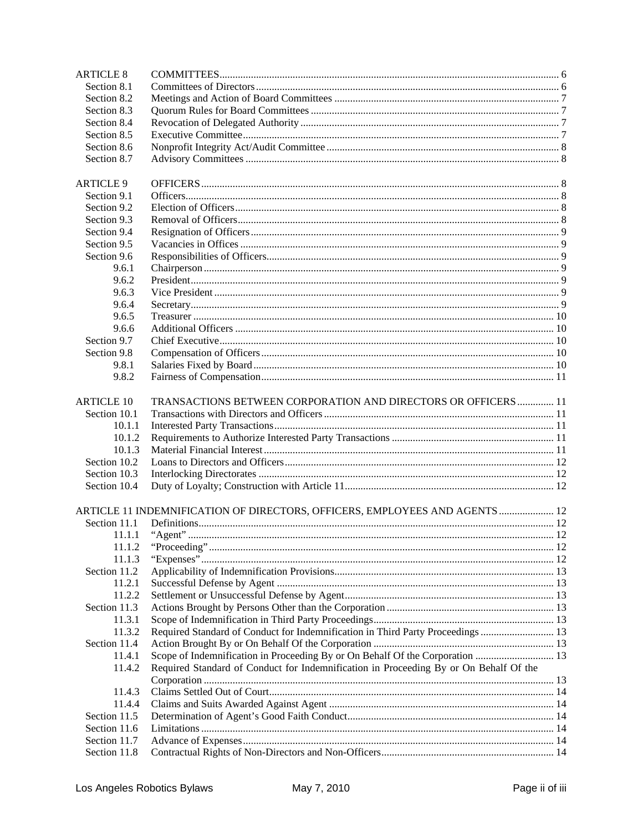| <b>ARTICLE 8</b>             |                                                                                       |  |
|------------------------------|---------------------------------------------------------------------------------------|--|
| Section 8.1                  |                                                                                       |  |
| Section 8.2                  |                                                                                       |  |
| Section 8.3                  |                                                                                       |  |
| Section 8.4                  |                                                                                       |  |
| Section 8.5                  |                                                                                       |  |
| Section 8.6                  |                                                                                       |  |
| Section 8.7                  |                                                                                       |  |
|                              |                                                                                       |  |
| <b>ARTICLE 9</b>             |                                                                                       |  |
| Section 9.1                  |                                                                                       |  |
| Section 9.2                  |                                                                                       |  |
| Section 9.3                  |                                                                                       |  |
| Section 9.4                  |                                                                                       |  |
| Section 9.5                  |                                                                                       |  |
| Section 9.6                  |                                                                                       |  |
| 9.6.1                        |                                                                                       |  |
| 9.6.2                        |                                                                                       |  |
| 9.6.3                        |                                                                                       |  |
| 9.6.4                        |                                                                                       |  |
| 9.6.5                        |                                                                                       |  |
| 9.6.6                        |                                                                                       |  |
| Section 9.7                  |                                                                                       |  |
| Section 9.8                  |                                                                                       |  |
| 9.8.1                        |                                                                                       |  |
| 9.8.2                        |                                                                                       |  |
|                              |                                                                                       |  |
| <b>ARTICLE 10</b>            | TRANSACTIONS BETWEEN CORPORATION AND DIRECTORS OR OFFICERS  11                        |  |
| Section 10.1                 |                                                                                       |  |
| 10.1.1                       |                                                                                       |  |
| 10.1.2                       |                                                                                       |  |
| 10.1.3                       |                                                                                       |  |
| Section 10.2                 |                                                                                       |  |
| Section 10.3<br>Section 10.4 |                                                                                       |  |
|                              |                                                                                       |  |
|                              | ARTICLE 11 INDEMNIFICATION OF DIRECTORS, OFFICERS, EMPLOYEES AND AGENTS  12           |  |
| Section 11.1                 |                                                                                       |  |
| 11.1.1                       |                                                                                       |  |
| 11.1.2                       |                                                                                       |  |
| 11.1.3                       |                                                                                       |  |
| Section 11.2                 |                                                                                       |  |
| 11.2.1                       |                                                                                       |  |
| 11.2.2                       |                                                                                       |  |
| Section 11.3                 |                                                                                       |  |
| 11.3.1                       |                                                                                       |  |
| 11.3.2                       | Required Standard of Conduct for Indemnification in Third Party Proceedings  13       |  |
| Section 11.4                 |                                                                                       |  |
| 11.4.1                       |                                                                                       |  |
| 11.4.2                       | Required Standard of Conduct for Indemnification in Proceeding By or On Behalf Of the |  |
|                              |                                                                                       |  |
| 11.4.3                       |                                                                                       |  |
| 11.4.4                       |                                                                                       |  |
| Section 11.5                 |                                                                                       |  |
| Section 11.6                 |                                                                                       |  |
| Section 11.7                 |                                                                                       |  |
| Section 11.8                 |                                                                                       |  |
|                              |                                                                                       |  |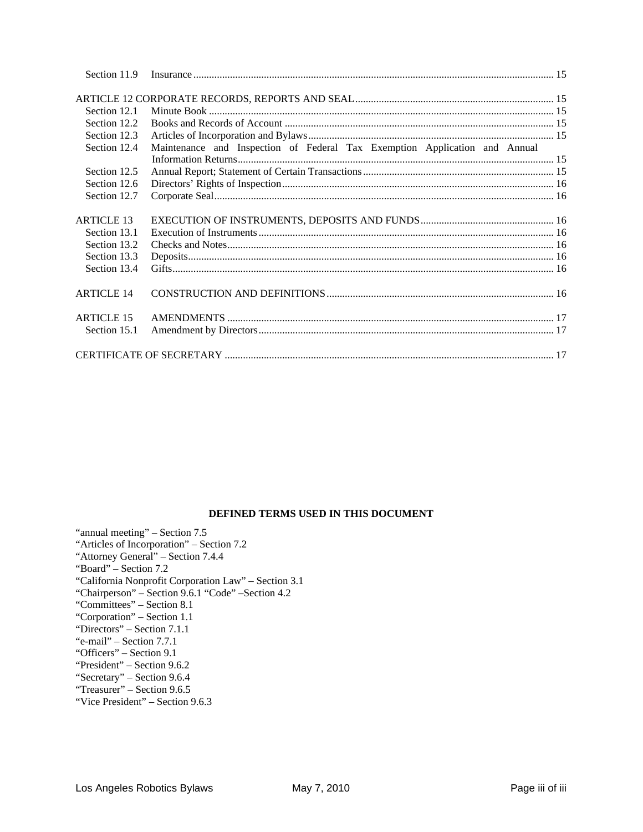| Section 11.9      |                                                                            |  |
|-------------------|----------------------------------------------------------------------------|--|
|                   |                                                                            |  |
|                   |                                                                            |  |
| Section 12.1      |                                                                            |  |
| Section 12.2      |                                                                            |  |
| Section 12.3      |                                                                            |  |
| Section 12.4      | Maintenance and Inspection of Federal Tax Exemption Application and Annual |  |
|                   |                                                                            |  |
| Section 12.5      |                                                                            |  |
| Section 12.6      |                                                                            |  |
| Section 12.7      |                                                                            |  |
|                   |                                                                            |  |
| <b>ARTICLE 13</b> |                                                                            |  |
| Section 13.1      |                                                                            |  |
| Section 13.2      |                                                                            |  |
| Section 13.3      |                                                                            |  |
| Section 13.4      |                                                                            |  |
| <b>ARTICLE 14</b> |                                                                            |  |
|                   |                                                                            |  |
| <b>ARTICLE 15</b> |                                                                            |  |
| Section 15.1      |                                                                            |  |
|                   |                                                                            |  |

### **DEFINED TERMS USED IN THIS DOCUMENT**

| "annual meeting" – Section 7.5                       |
|------------------------------------------------------|
| "Articles of Incorporation" – Section 7.2            |
| "Attorney General" – Section 7.4.4                   |
| "Board" – Section 7.2                                |
| "California Nonprofit Corporation Law" – Section 3.1 |
| "Chairperson" – Section 9.6.1 "Code" – Section 4.2   |
| "Committees" – Section 8.1                           |
| "Corporation" – Section 1.1                          |
| "Directors" – Section 7.1.1                          |
| "e-mail" – Section 7.7.1                             |
| "Officers" – Section 9.1                             |
| "President" – Section 9.6.2                          |
| "Secretary" – Section 9.6.4                          |
| "Treasurer" – Section 9.6.5                          |
| "Vice President" – Section 9.6.3                     |
|                                                      |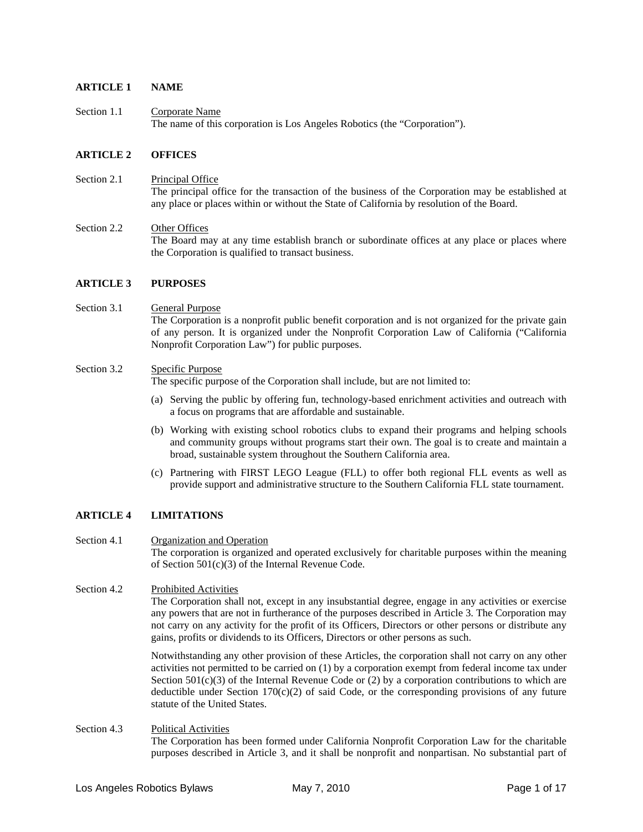#### **ARTICLE 1 NAME**

Section 1.1 Corporate Name The name of this corporation is Los Angeles Robotics (the "Corporation").

#### **ARTICLE 2 OFFICES**

- Section 2.1 Principal Office The principal office for the transaction of the business of the Corporation may be established at any place or places within or without the State of California by resolution of the Board.
- Section 2.2 Other Offices The Board may at any time establish branch or subordinate offices at any place or places where the Corporation is qualified to transact business.

#### **ARTICLE 3 PURPOSES**

#### Section 3.1 General Purpose The Corporation is a nonprofit public benefit corporation and is not organized for the private gain of any person. It is organized under the Nonprofit Corporation Law of California ("California Nonprofit Corporation Law") for public purposes.

#### Section 3.2 Specific Purpose

The specific purpose of the Corporation shall include, but are not limited to:

- (a) Serving the public by offering fun, technology-based enrichment activities and outreach with a focus on programs that are affordable and sustainable.
- (b) Working with existing school robotics clubs to expand their programs and helping schools and community groups without programs start their own. The goal is to create and maintain a broad, sustainable system throughout the Southern California area.
- (c) Partnering with FIRST LEGO League (FLL) to offer both regional FLL events as well as provide support and administrative structure to the Southern California FLL state tournament.

#### **ARTICLE 4 LIMITATIONS**

- Section 4.1 Organization and Operation The corporation is organized and operated exclusively for charitable purposes within the meaning of Section 501(c)(3) of the Internal Revenue Code.
- Section 4.2 Prohibited Activities The Corporation shall not, except in any insubstantial degree, engage in any activities or exercise any powers that are not in furtherance of the purposes described in Article 3. The Corporation may not carry on any activity for the profit of its Officers, Directors or other persons or distribute any gains, profits or dividends to its Officers, Directors or other persons as such.

Notwithstanding any other provision of these Articles, the corporation shall not carry on any other activities not permitted to be carried on (1) by a corporation exempt from federal income tax under Section  $501(c)(3)$  of the Internal Revenue Code or (2) by a corporation contributions to which are deductible under Section 170(c)(2) of said Code, or the corresponding provisions of any future statute of the United States.

#### Section 4.3 Political Activities The Corporation has been formed under California Nonprofit Corporation Law for the charitable purposes described in Article 3, and it shall be nonprofit and nonpartisan. No substantial part of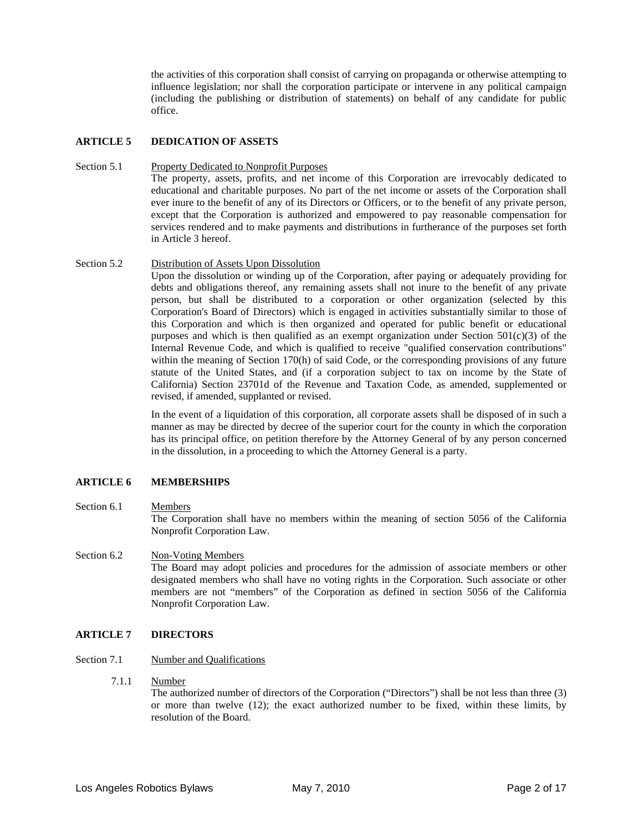the activities of this corporation shall consist of carrying on propaganda or otherwise attempting to influence legislation; nor shall the corporation participate or intervene in any political campaign (including the publishing or distribution of statements) on behalf of any candidate for public office.

#### **ARTICLE 5 DEDICATION OF ASSETS**

#### Section 5.1 Property Dedicated to Nonprofit Purposes

The property, assets, profits, and net income of this Corporation are irrevocably dedicated to educational and charitable purposes. No part of the net income or assets of the Corporation shall ever inure to the benefit of any of its Directors or Officers, or to the benefit of any private person, except that the Corporation is authorized and empowered to pay reasonable compensation for services rendered and to make payments and distributions in furtherance of the purposes set forth in Article 3 hereof.

#### Section 5.2 Distribution of Assets Upon Dissolution

Upon the dissolution or winding up of the Corporation, after paying or adequately providing for debts and obligations thereof, any remaining assets shall not inure to the benefit of any private person, but shall be distributed to a corporation or other organization (selected by this Corporation's Board of Directors) which is engaged in activities substantially similar to those of this Corporation and which is then organized and operated for public benefit or educational purposes and which is then qualified as an exempt organization under Section  $501(c)(3)$  of the Internal Revenue Code, and which is qualified to receive "qualified conservation contributions" within the meaning of Section 170(h) of said Code, or the corresponding provisions of any future statute of the United States, and (if a corporation subject to tax on income by the State of California) Section 23701d of the Revenue and Taxation Code, as amended, supplemented or revised, if amended, supplanted or revised.

In the event of a liquidation of this corporation, all corporate assets shall be disposed of in such a manner as may be directed by decree of the superior court for the county in which the corporation has its principal office, on petition therefore by the Attorney General of by any person concerned in the dissolution, in a proceeding to which the Attorney General is a party.

#### **ARTICLE 6 MEMBERSHIPS**

#### Section 6.1 Members

The Corporation shall have no members within the meaning of section 5056 of the California Nonprofit Corporation Law.

### Section 6.2 Non-Voting Members

The Board may adopt policies and procedures for the admission of associate members or other designated members who shall have no voting rights in the Corporation. Such associate or other members are not "members" of the Corporation as defined in section 5056 of the California Nonprofit Corporation Law.

#### **ARTICLE 7 DIRECTORS**

#### Section 7.1 Number and Qualifications

7.1.1 Number

The authorized number of directors of the Corporation ("Directors") shall be not less than three (3) or more than twelve (12); the exact authorized number to be fixed, within these limits, by resolution of the Board.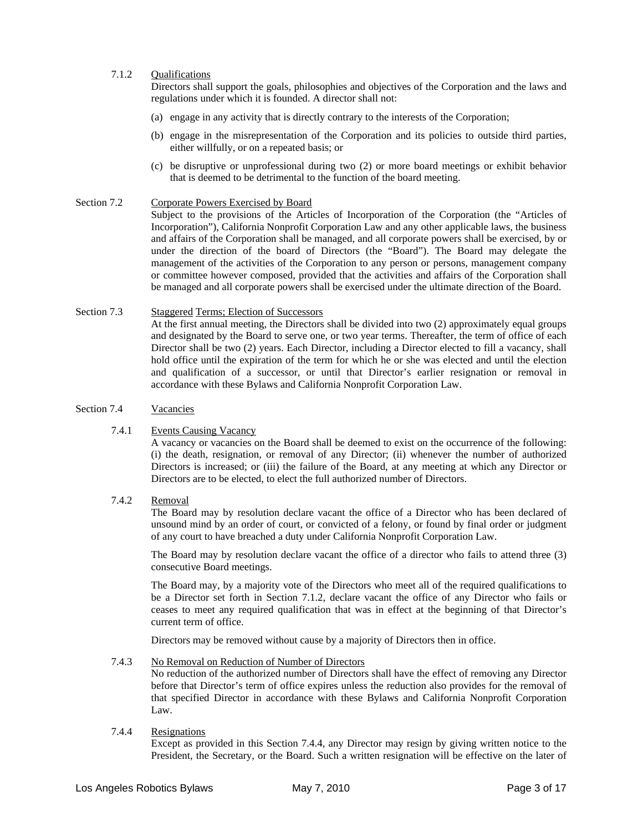#### 7.1.2 Qualifications

Directors shall support the goals, philosophies and objectives of the Corporation and the laws and regulations under which it is founded. A director shall not:

- (a) engage in any activity that is directly contrary to the interests of the Corporation;
- (b) engage in the misrepresentation of the Corporation and its policies to outside third parties, either willfully, or on a repeated basis; or
- (c) be disruptive or unprofessional during two (2) or more board meetings or exhibit behavior that is deemed to be detrimental to the function of the board meeting.

#### Section 7.2 Corporate Powers Exercised by Board

Subject to the provisions of the Articles of Incorporation of the Corporation (the "Articles of Incorporation"), California Nonprofit Corporation Law and any other applicable laws, the business and affairs of the Corporation shall be managed, and all corporate powers shall be exercised, by or under the direction of the board of Directors (the "Board"). The Board may delegate the management of the activities of the Corporation to any person or persons, management company or committee however composed, provided that the activities and affairs of the Corporation shall be managed and all corporate powers shall be exercised under the ultimate direction of the Board.

#### Section 7.3 Staggered Terms; Election of Successors At the first annual meeting, the Directors shall be divided into two (2) approximately equal groups and designated by the Board to serve one, or two year terms. Thereafter, the term of office of each Director shall be two (2) years. Each Director, including a Director elected to fill a vacancy, shall hold office until the expiration of the term for which he or she was elected and until the election and qualification of a successor, or until that Director's earlier resignation or removal in accordance with these Bylaws and California Nonprofit Corporation Law.

#### Section 7.4 Vacancies

#### 7.4.1 Events Causing Vacancy

A vacancy or vacancies on the Board shall be deemed to exist on the occurrence of the following: (i) the death, resignation, or removal of any Director; (ii) whenever the number of authorized Directors is increased; or (iii) the failure of the Board, at any meeting at which any Director or Directors are to be elected, to elect the full authorized number of Directors.

#### 7.4.2 Removal

The Board may by resolution declare vacant the office of a Director who has been declared of unsound mind by an order of court, or convicted of a felony, or found by final order or judgment of any court to have breached a duty under California Nonprofit Corporation Law.

The Board may by resolution declare vacant the office of a director who fails to attend three (3) consecutive Board meetings.

The Board may, by a majority vote of the Directors who meet all of the required qualifications to be a Director set forth in Section 7.1.2, declare vacant the office of any Director who fails or ceases to meet any required qualification that was in effect at the beginning of that Director's current term of office.

Directors may be removed without cause by a majority of Directors then in office.

#### 7.4.3 No Removal on Reduction of Number of Directors

No reduction of the authorized number of Directors shall have the effect of removing any Director before that Director's term of office expires unless the reduction also provides for the removal of that specified Director in accordance with these Bylaws and California Nonprofit Corporation Law.

#### 7.4.4 Resignations

Except as provided in this Section 7.4.4, any Director may resign by giving written notice to the President, the Secretary, or the Board. Such a written resignation will be effective on the later of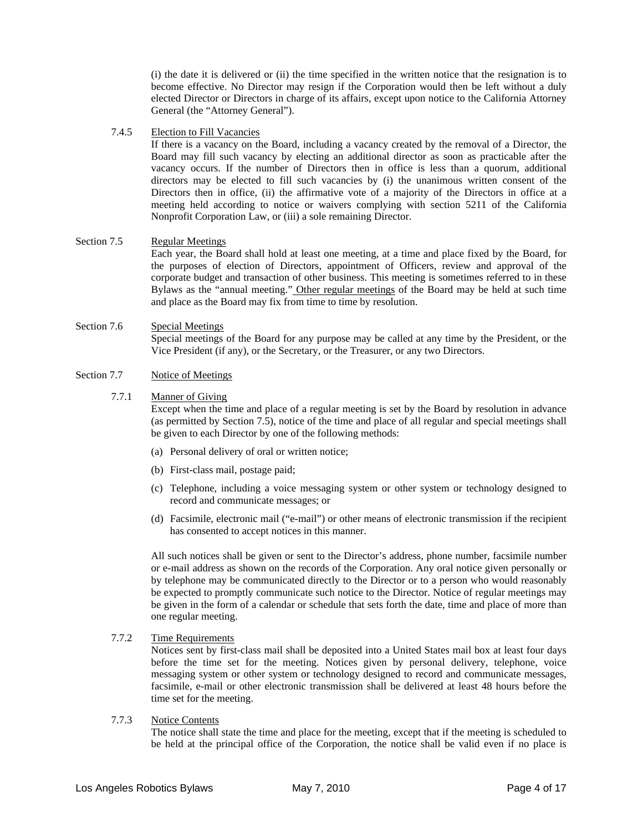(i) the date it is delivered or (ii) the time specified in the written notice that the resignation is to become effective. No Director may resign if the Corporation would then be left without a duly elected Director or Directors in charge of its affairs, except upon notice to the California Attorney General (the "Attorney General").

#### 7.4.5 Election to Fill Vacancies

If there is a vacancy on the Board, including a vacancy created by the removal of a Director, the Board may fill such vacancy by electing an additional director as soon as practicable after the vacancy occurs. If the number of Directors then in office is less than a quorum, additional directors may be elected to fill such vacancies by (i) the unanimous written consent of the Directors then in office, (ii) the affirmative vote of a majority of the Directors in office at a meeting held according to notice or waivers complying with section 5211 of the California Nonprofit Corporation Law, or (iii) a sole remaining Director.

#### Section 7.5 Regular Meetings

Each year, the Board shall hold at least one meeting, at a time and place fixed by the Board, for the purposes of election of Directors, appointment of Officers, review and approval of the corporate budget and transaction of other business. This meeting is sometimes referred to in these Bylaws as the "annual meeting." Other regular meetings of the Board may be held at such time and place as the Board may fix from time to time by resolution.

### Section 7.6 Special Meetings

Special meetings of the Board for any purpose may be called at any time by the President, or the Vice President (if any), or the Secretary, or the Treasurer, or any two Directors.

#### Section 7.7 Notice of Meetings

#### 7.7.1 Manner of Giving

Except when the time and place of a regular meeting is set by the Board by resolution in advance (as permitted by Section 7.5), notice of the time and place of all regular and special meetings shall be given to each Director by one of the following methods:

- (a) Personal delivery of oral or written notice;
- (b) First-class mail, postage paid;
- (c) Telephone, including a voice messaging system or other system or technology designed to record and communicate messages; or
- (d) Facsimile, electronic mail ("e-mail") or other means of electronic transmission if the recipient has consented to accept notices in this manner.

All such notices shall be given or sent to the Director's address, phone number, facsimile number or e-mail address as shown on the records of the Corporation. Any oral notice given personally or by telephone may be communicated directly to the Director or to a person who would reasonably be expected to promptly communicate such notice to the Director. Notice of regular meetings may be given in the form of a calendar or schedule that sets forth the date, time and place of more than one regular meeting.

7.7.2 Time Requirements

Notices sent by first-class mail shall be deposited into a United States mail box at least four days before the time set for the meeting. Notices given by personal delivery, telephone, voice messaging system or other system or technology designed to record and communicate messages, facsimile, e-mail or other electronic transmission shall be delivered at least 48 hours before the time set for the meeting.

#### 7.7.3 Notice Contents

The notice shall state the time and place for the meeting, except that if the meeting is scheduled to be held at the principal office of the Corporation, the notice shall be valid even if no place is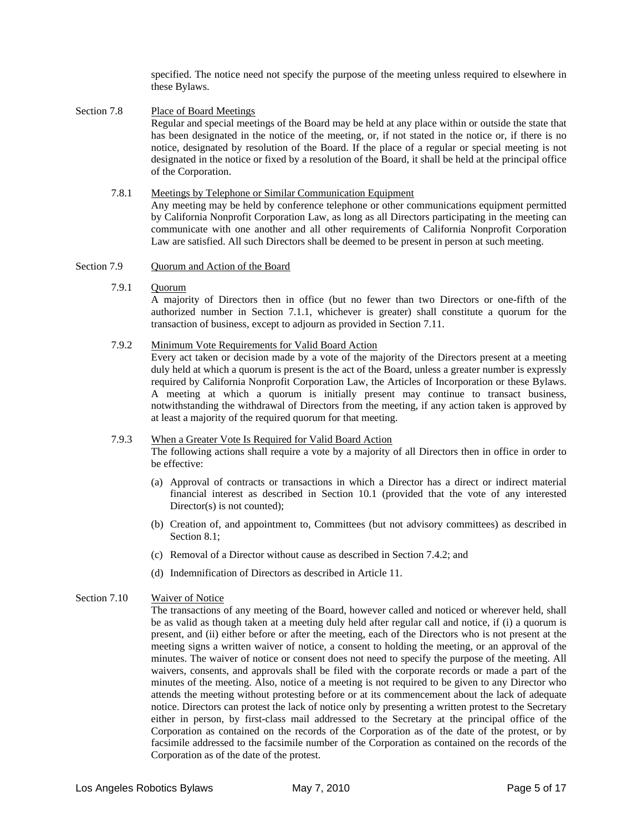specified. The notice need not specify the purpose of the meeting unless required to elsewhere in these Bylaws.

- Section 7.8 Place of Board Meetings Regular and special meetings of the Board may be held at any place within or outside the state that has been designated in the notice of the meeting, or, if not stated in the notice or, if there is no notice, designated by resolution of the Board. If the place of a regular or special meeting is not designated in the notice or fixed by a resolution of the Board, it shall be held at the principal office of the Corporation.
	- 7.8.1 Meetings by Telephone or Similar Communication Equipment Any meeting may be held by conference telephone or other communications equipment permitted by California Nonprofit Corporation Law, as long as all Directors participating in the meeting can communicate with one another and all other requirements of California Nonprofit Corporation Law are satisfied. All such Directors shall be deemed to be present in person at such meeting.
- Section 7.9 Quorum and Action of the Board
	- 7.9.1 Quorum

A majority of Directors then in office (but no fewer than two Directors or one-fifth of the authorized number in Section 7.1.1, whichever is greater) shall constitute a quorum for the transaction of business, except to adjourn as provided in Section 7.11.

#### 7.9.2 Minimum Vote Requirements for Valid Board Action

Every act taken or decision made by a vote of the majority of the Directors present at a meeting duly held at which a quorum is present is the act of the Board, unless a greater number is expressly required by California Nonprofit Corporation Law, the Articles of Incorporation or these Bylaws. A meeting at which a quorum is initially present may continue to transact business, notwithstanding the withdrawal of Directors from the meeting, if any action taken is approved by at least a majority of the required quorum for that meeting.

#### 7.9.3 When a Greater Vote Is Required for Valid Board Action

The following actions shall require a vote by a majority of all Directors then in office in order to be effective:

- (a) Approval of contracts or transactions in which a Director has a direct or indirect material financial interest as described in Section 10.1 (provided that the vote of any interested Director(s) is not counted);
- (b) Creation of, and appointment to, Committees (but not advisory committees) as described in Section 8.1:
- (c) Removal of a Director without cause as described in Section 7.4.2; and
- (d) Indemnification of Directors as described in Article 11.

#### Section 7.10 Waiver of Notice

The transactions of any meeting of the Board, however called and noticed or wherever held, shall be as valid as though taken at a meeting duly held after regular call and notice, if (i) a quorum is present, and (ii) either before or after the meeting, each of the Directors who is not present at the meeting signs a written waiver of notice, a consent to holding the meeting, or an approval of the minutes. The waiver of notice or consent does not need to specify the purpose of the meeting. All waivers, consents, and approvals shall be filed with the corporate records or made a part of the minutes of the meeting. Also, notice of a meeting is not required to be given to any Director who attends the meeting without protesting before or at its commencement about the lack of adequate notice. Directors can protest the lack of notice only by presenting a written protest to the Secretary either in person, by first-class mail addressed to the Secretary at the principal office of the Corporation as contained on the records of the Corporation as of the date of the protest, or by facsimile addressed to the facsimile number of the Corporation as contained on the records of the Corporation as of the date of the protest.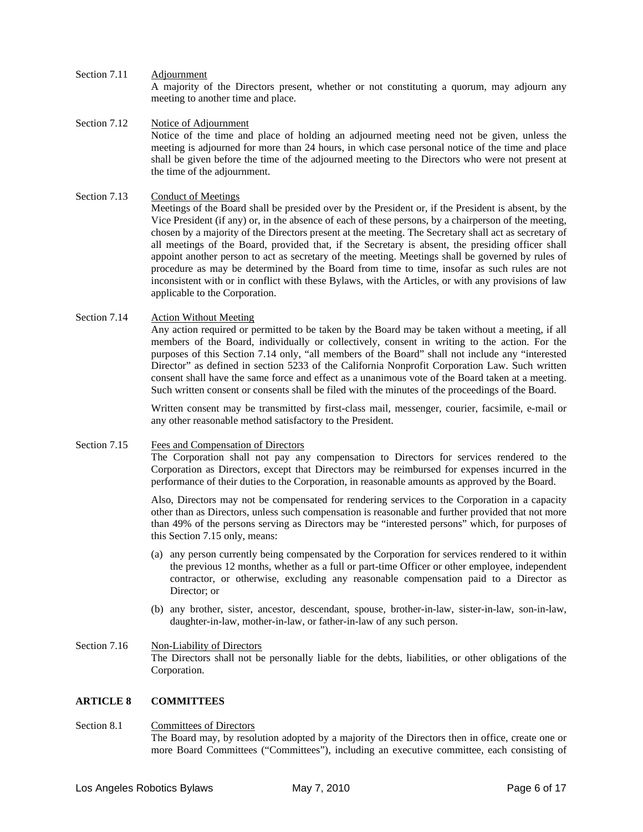- Section 7.11 Adjournment A majority of the Directors present, whether or not constituting a quorum, may adjourn any meeting to another time and place.
- Section 7.12 Notice of Adjournment Notice of the time and place of holding an adjourned meeting need not be given, unless the meeting is adjourned for more than 24 hours, in which case personal notice of the time and place shall be given before the time of the adjourned meeting to the Directors who were not present at the time of the adjournment.

#### Section 7.13 Conduct of Meetings

Meetings of the Board shall be presided over by the President or, if the President is absent, by the Vice President (if any) or, in the absence of each of these persons, by a chairperson of the meeting, chosen by a majority of the Directors present at the meeting. The Secretary shall act as secretary of all meetings of the Board, provided that, if the Secretary is absent, the presiding officer shall appoint another person to act as secretary of the meeting. Meetings shall be governed by rules of procedure as may be determined by the Board from time to time, insofar as such rules are not inconsistent with or in conflict with these Bylaws, with the Articles, or with any provisions of law applicable to the Corporation.

#### Section 7.14 Action Without Meeting

Any action required or permitted to be taken by the Board may be taken without a meeting, if all members of the Board, individually or collectively, consent in writing to the action. For the purposes of this Section 7.14 only, "all members of the Board" shall not include any "interested Director" as defined in section 5233 of the California Nonprofit Corporation Law. Such written consent shall have the same force and effect as a unanimous vote of the Board taken at a meeting. Such written consent or consents shall be filed with the minutes of the proceedings of the Board.

Written consent may be transmitted by first-class mail, messenger, courier, facsimile, e-mail or any other reasonable method satisfactory to the President.

#### Section 7.15 Fees and Compensation of Directors

The Corporation shall not pay any compensation to Directors for services rendered to the Corporation as Directors, except that Directors may be reimbursed for expenses incurred in the performance of their duties to the Corporation, in reasonable amounts as approved by the Board.

Also, Directors may not be compensated for rendering services to the Corporation in a capacity other than as Directors, unless such compensation is reasonable and further provided that not more than 49% of the persons serving as Directors may be "interested persons" which, for purposes of this Section 7.15 only, means:

- (a) any person currently being compensated by the Corporation for services rendered to it within the previous 12 months, whether as a full or part-time Officer or other employee, independent contractor, or otherwise, excluding any reasonable compensation paid to a Director as Director; or
- (b) any brother, sister, ancestor, descendant, spouse, brother-in-law, sister-in-law, son-in-law, daughter-in-law, mother-in-law, or father-in-law of any such person.
- Section 7.16 Non-Liability of Directors The Directors shall not be personally liable for the debts, liabilities, or other obligations of the Corporation.

#### **ARTICLE 8 COMMITTEES**

Section 8.1 Committees of Directors The Board may, by resolution adopted by a majority of the Directors then in office, create one or more Board Committees ("Committees"), including an executive committee, each consisting of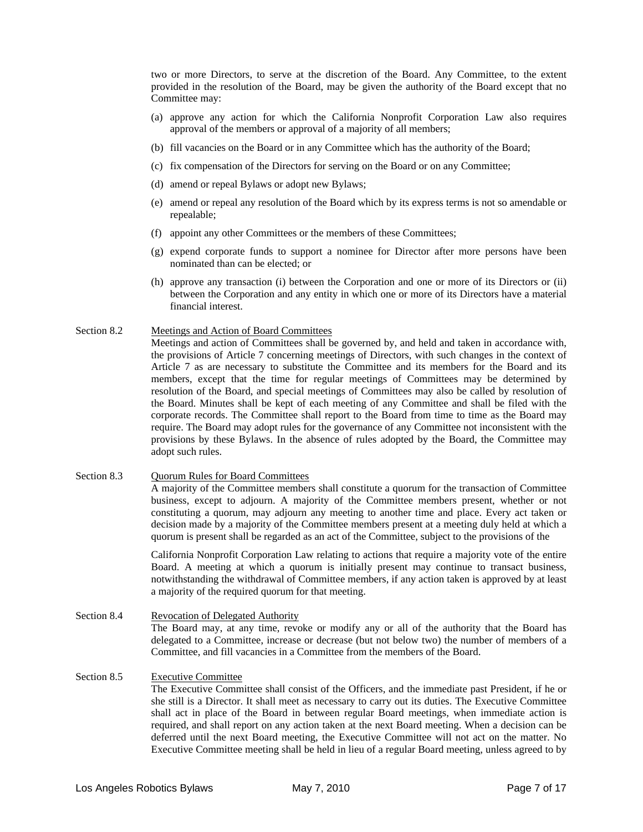two or more Directors, to serve at the discretion of the Board. Any Committee, to the extent provided in the resolution of the Board, may be given the authority of the Board except that no Committee may:

- (a) approve any action for which the California Nonprofit Corporation Law also requires approval of the members or approval of a majority of all members;
- (b) fill vacancies on the Board or in any Committee which has the authority of the Board;
- (c) fix compensation of the Directors for serving on the Board or on any Committee;
- (d) amend or repeal Bylaws or adopt new Bylaws;
- (e) amend or repeal any resolution of the Board which by its express terms is not so amendable or repealable;
- (f) appoint any other Committees or the members of these Committees;
- (g) expend corporate funds to support a nominee for Director after more persons have been nominated than can be elected; or
- (h) approve any transaction (i) between the Corporation and one or more of its Directors or (ii) between the Corporation and any entity in which one or more of its Directors have a material financial interest.

#### Section 8.2 Meetings and Action of Board Committees

Meetings and action of Committees shall be governed by, and held and taken in accordance with, the provisions of Article 7 concerning meetings of Directors, with such changes in the context of Article 7 as are necessary to substitute the Committee and its members for the Board and its members, except that the time for regular meetings of Committees may be determined by resolution of the Board, and special meetings of Committees may also be called by resolution of the Board. Minutes shall be kept of each meeting of any Committee and shall be filed with the corporate records. The Committee shall report to the Board from time to time as the Board may require. The Board may adopt rules for the governance of any Committee not inconsistent with the provisions by these Bylaws. In the absence of rules adopted by the Board, the Committee may adopt such rules.

#### Section 8.3 Quorum Rules for Board Committees A majority of the Committee members shall constitute a quorum for the transaction of Committee business, except to adjourn. A majority of the Committee members present, whether or not constituting a quorum, may adjourn any meeting to another time and place. Every act taken or decision made by a majority of the Committee members present at a meeting duly held at which a quorum is present shall be regarded as an act of the Committee, subject to the provisions of the

California Nonprofit Corporation Law relating to actions that require a majority vote of the entire Board. A meeting at which a quorum is initially present may continue to transact business, notwithstanding the withdrawal of Committee members, if any action taken is approved by at least a majority of the required quorum for that meeting.

Section 8.4 Revocation of Delegated Authority The Board may, at any time, revoke or modify any or all of the authority that the Board has delegated to a Committee, increase or decrease (but not below two) the number of members of a Committee, and fill vacancies in a Committee from the members of the Board.

#### Section 8.5 Executive Committee The Executive Committee shall consist of the Officers, and the immediate past President, if he or she still is a Director. It shall meet as necessary to carry out its duties. The Executive Committee shall act in place of the Board in between regular Board meetings, when immediate action is required, and shall report on any action taken at the next Board meeting. When a decision can be deferred until the next Board meeting, the Executive Committee will not act on the matter. No Executive Committee meeting shall be held in lieu of a regular Board meeting, unless agreed to by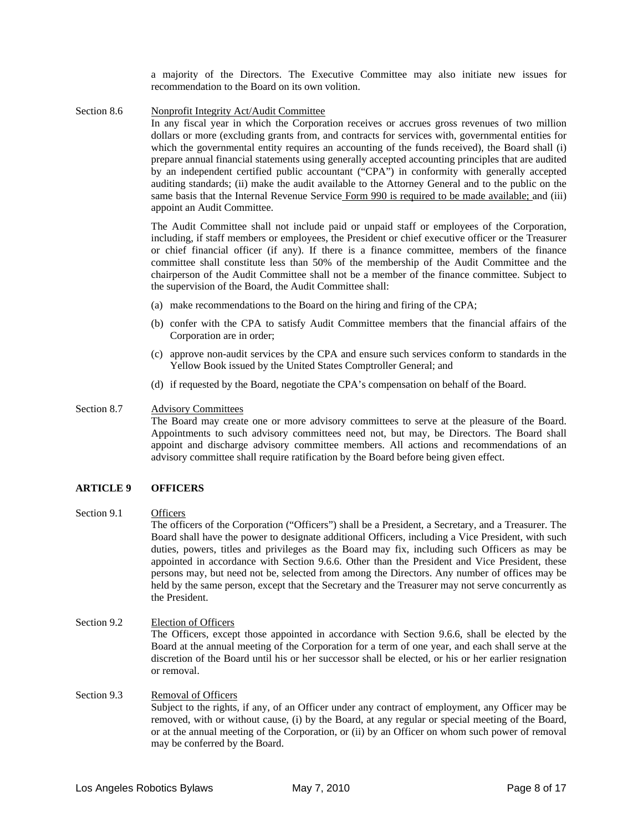a majority of the Directors. The Executive Committee may also initiate new issues for recommendation to the Board on its own volition.

Section 8.6 Nonprofit Integrity Act/Audit Committee

In any fiscal year in which the Corporation receives or accrues gross revenues of two million dollars or more (excluding grants from, and contracts for services with, governmental entities for which the governmental entity requires an accounting of the funds received), the Board shall (i) prepare annual financial statements using generally accepted accounting principles that are audited by an independent certified public accountant ("CPA") in conformity with generally accepted auditing standards; (ii) make the audit available to the Attorney General and to the public on the same basis that the Internal Revenue Service Form 990 is required to be made available; and (iii) appoint an Audit Committee.

The Audit Committee shall not include paid or unpaid staff or employees of the Corporation, including, if staff members or employees, the President or chief executive officer or the Treasurer or chief financial officer (if any). If there is a finance committee, members of the finance committee shall constitute less than 50% of the membership of the Audit Committee and the chairperson of the Audit Committee shall not be a member of the finance committee. Subject to the supervision of the Board, the Audit Committee shall:

- (a) make recommendations to the Board on the hiring and firing of the CPA;
- (b) confer with the CPA to satisfy Audit Committee members that the financial affairs of the Corporation are in order;
- (c) approve non-audit services by the CPA and ensure such services conform to standards in the Yellow Book issued by the United States Comptroller General; and
- (d) if requested by the Board, negotiate the CPA's compensation on behalf of the Board.

#### Section 8.7 Advisory Committees

The Board may create one or more advisory committees to serve at the pleasure of the Board. Appointments to such advisory committees need not, but may, be Directors. The Board shall appoint and discharge advisory committee members. All actions and recommendations of an advisory committee shall require ratification by the Board before being given effect.

#### **ARTICLE 9 OFFICERS**

#### Section 9.1 Officers

The officers of the Corporation ("Officers") shall be a President, a Secretary, and a Treasurer. The Board shall have the power to designate additional Officers, including a Vice President, with such duties, powers, titles and privileges as the Board may fix, including such Officers as may be appointed in accordance with Section 9.6.6. Other than the President and Vice President, these persons may, but need not be, selected from among the Directors. Any number of offices may be held by the same person, except that the Secretary and the Treasurer may not serve concurrently as the President.

- Section 9.2 Election of Officers The Officers, except those appointed in accordance with Section 9.6.6, shall be elected by the Board at the annual meeting of the Corporation for a term of one year, and each shall serve at the discretion of the Board until his or her successor shall be elected, or his or her earlier resignation or removal.
- Section 9.3 Removal of Officers Subject to the rights, if any, of an Officer under any contract of employment, any Officer may be removed, with or without cause, (i) by the Board, at any regular or special meeting of the Board, or at the annual meeting of the Corporation, or (ii) by an Officer on whom such power of removal may be conferred by the Board.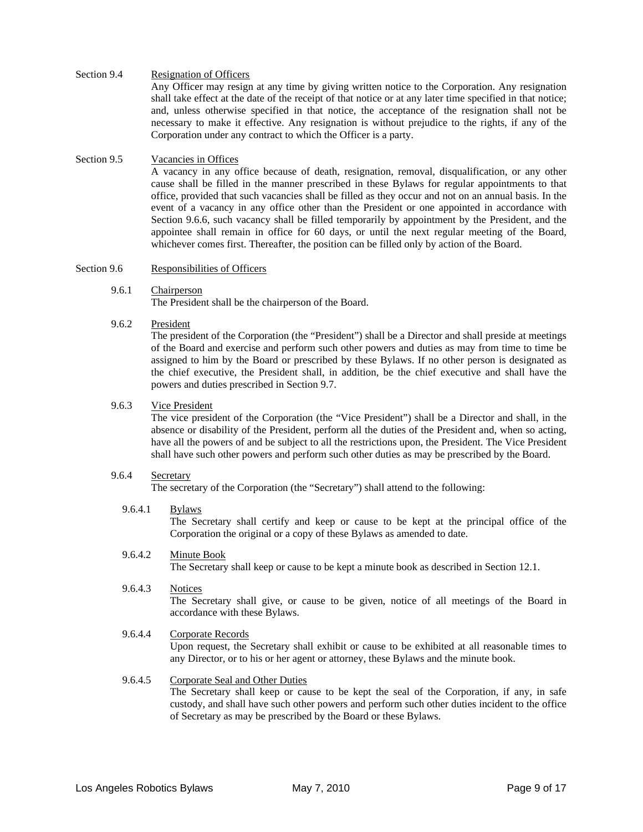#### Section 9.4 Resignation of Officers

Any Officer may resign at any time by giving written notice to the Corporation. Any resignation shall take effect at the date of the receipt of that notice or at any later time specified in that notice; and, unless otherwise specified in that notice, the acceptance of the resignation shall not be necessary to make it effective. Any resignation is without prejudice to the rights, if any of the Corporation under any contract to which the Officer is a party.

#### Section 9.5 Vacancies in Offices

A vacancy in any office because of death, resignation, removal, disqualification, or any other cause shall be filled in the manner prescribed in these Bylaws for regular appointments to that office, provided that such vacancies shall be filled as they occur and not on an annual basis. In the event of a vacancy in any office other than the President or one appointed in accordance with Section 9.6.6, such vacancy shall be filled temporarily by appointment by the President, and the appointee shall remain in office for 60 days, or until the next regular meeting of the Board, whichever comes first. Thereafter, the position can be filled only by action of the Board.

#### Section 9.6 Responsibilities of Officers

- 9.6.1 Chairperson The President shall be the chairperson of the Board.
- 9.6.2 President

The president of the Corporation (the "President") shall be a Director and shall preside at meetings of the Board and exercise and perform such other powers and duties as may from time to time be assigned to him by the Board or prescribed by these Bylaws. If no other person is designated as the chief executive, the President shall, in addition, be the chief executive and shall have the powers and duties prescribed in Section 9.7.

#### 9.6.3 Vice President

The vice president of the Corporation (the "Vice President") shall be a Director and shall, in the absence or disability of the President, perform all the duties of the President and, when so acting, have all the powers of and be subject to all the restrictions upon, the President. The Vice President shall have such other powers and perform such other duties as may be prescribed by the Board.

#### 9.6.4 Secretary

The secretary of the Corporation (the "Secretary") shall attend to the following:

#### 9.6.4.1 Bylaws

The Secretary shall certify and keep or cause to be kept at the principal office of the Corporation the original or a copy of these Bylaws as amended to date.

#### 9.6.4.2 Minute Book

The Secretary shall keep or cause to be kept a minute book as described in Section 12.1.

9.6.4.3 Notices The Secretary shall give, or cause to be given, notice of all meetings of the Board in accordance with these Bylaws.

#### 9.6.4.4 Corporate Records

Upon request, the Secretary shall exhibit or cause to be exhibited at all reasonable times to any Director, or to his or her agent or attorney, these Bylaws and the minute book.

#### 9.6.4.5 Corporate Seal and Other Duties

The Secretary shall keep or cause to be kept the seal of the Corporation, if any, in safe custody, and shall have such other powers and perform such other duties incident to the office of Secretary as may be prescribed by the Board or these Bylaws.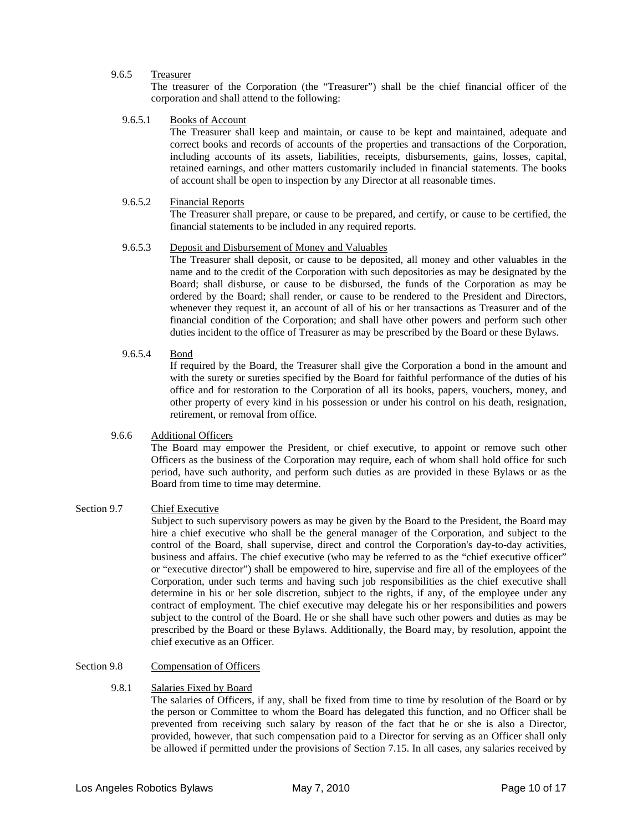#### 9.6.5 Treasurer

The treasurer of the Corporation (the "Treasurer") shall be the chief financial officer of the corporation and shall attend to the following:

9.6.5.1 Books of Account

The Treasurer shall keep and maintain, or cause to be kept and maintained, adequate and correct books and records of accounts of the properties and transactions of the Corporation, including accounts of its assets, liabilities, receipts, disbursements, gains, losses, capital, retained earnings, and other matters customarily included in financial statements. The books of account shall be open to inspection by any Director at all reasonable times.

#### 9.6.5.2 Financial Reports

The Treasurer shall prepare, or cause to be prepared, and certify, or cause to be certified, the financial statements to be included in any required reports.

#### 9.6.5.3 Deposit and Disbursement of Money and Valuables

The Treasurer shall deposit, or cause to be deposited, all money and other valuables in the name and to the credit of the Corporation with such depositories as may be designated by the Board; shall disburse, or cause to be disbursed, the funds of the Corporation as may be ordered by the Board; shall render, or cause to be rendered to the President and Directors, whenever they request it, an account of all of his or her transactions as Treasurer and of the financial condition of the Corporation; and shall have other powers and perform such other duties incident to the office of Treasurer as may be prescribed by the Board or these Bylaws.

9.6.5.4 Bond

If required by the Board, the Treasurer shall give the Corporation a bond in the amount and with the surety or sureties specified by the Board for faithful performance of the duties of his office and for restoration to the Corporation of all its books, papers, vouchers, money, and other property of every kind in his possession or under his control on his death, resignation, retirement, or removal from office.

#### 9.6.6 Additional Officers

The Board may empower the President, or chief executive, to appoint or remove such other Officers as the business of the Corporation may require, each of whom shall hold office for such period, have such authority, and perform such duties as are provided in these Bylaws or as the Board from time to time may determine.

#### Section 9.7 Chief Executive

Subject to such supervisory powers as may be given by the Board to the President, the Board may hire a chief executive who shall be the general manager of the Corporation, and subject to the control of the Board, shall supervise, direct and control the Corporation's day-to-day activities, business and affairs. The chief executive (who may be referred to as the "chief executive officer" or "executive director") shall be empowered to hire, supervise and fire all of the employees of the Corporation, under such terms and having such job responsibilities as the chief executive shall determine in his or her sole discretion, subject to the rights, if any, of the employee under any contract of employment. The chief executive may delegate his or her responsibilities and powers subject to the control of the Board. He or she shall have such other powers and duties as may be prescribed by the Board or these Bylaws. Additionally, the Board may, by resolution, appoint the chief executive as an Officer.

#### Section 9.8 Compensation of Officers

#### 9.8.1 Salaries Fixed by Board

The salaries of Officers, if any, shall be fixed from time to time by resolution of the Board or by the person or Committee to whom the Board has delegated this function, and no Officer shall be prevented from receiving such salary by reason of the fact that he or she is also a Director, provided, however, that such compensation paid to a Director for serving as an Officer shall only be allowed if permitted under the provisions of Section 7.15. In all cases, any salaries received by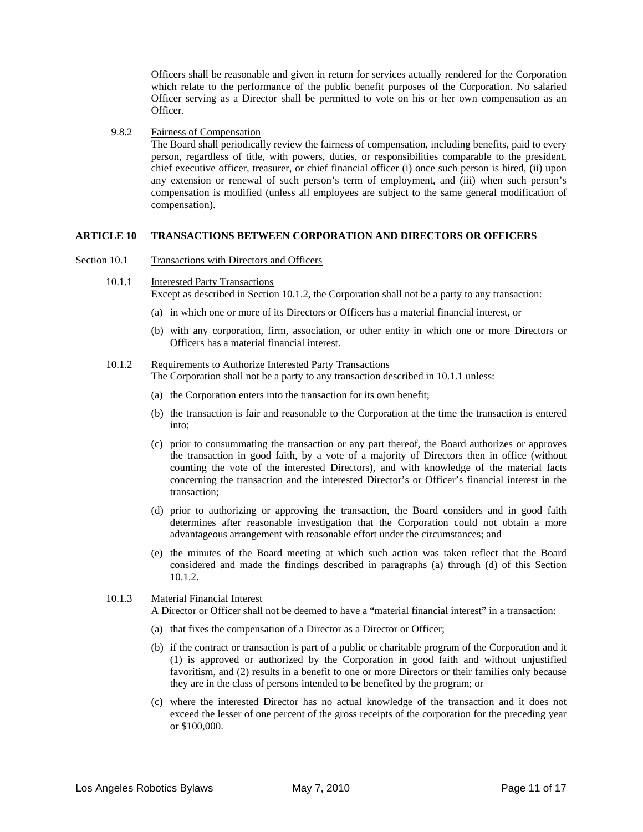Officers shall be reasonable and given in return for services actually rendered for the Corporation which relate to the performance of the public benefit purposes of the Corporation. No salaried Officer serving as a Director shall be permitted to vote on his or her own compensation as an Officer.

#### 9.8.2 Fairness of Compensation

The Board shall periodically review the fairness of compensation, including benefits, paid to every person, regardless of title, with powers, duties, or responsibilities comparable to the president, chief executive officer, treasurer, or chief financial officer (i) once such person is hired, (ii) upon any extension or renewal of such person's term of employment, and (iii) when such person's compensation is modified (unless all employees are subject to the same general modification of compensation).

#### **ARTICLE 10 TRANSACTIONS BETWEEN CORPORATION AND DIRECTORS OR OFFICERS**

Section 10.1 Transactions with Directors and Officers

#### 10.1.1 Interested Party Transactions

Except as described in Section 10.1.2, the Corporation shall not be a party to any transaction:

- (a) in which one or more of its Directors or Officers has a material financial interest, or
- (b) with any corporation, firm, association, or other entity in which one or more Directors or Officers has a material financial interest.

#### 10.1.2 Requirements to Authorize Interested Party Transactions

- The Corporation shall not be a party to any transaction described in 10.1.1 unless:
- (a) the Corporation enters into the transaction for its own benefit;
- (b) the transaction is fair and reasonable to the Corporation at the time the transaction is entered into;
- (c) prior to consummating the transaction or any part thereof, the Board authorizes or approves the transaction in good faith, by a vote of a majority of Directors then in office (without counting the vote of the interested Directors), and with knowledge of the material facts concerning the transaction and the interested Director's or Officer's financial interest in the transaction;
- (d) prior to authorizing or approving the transaction, the Board considers and in good faith determines after reasonable investigation that the Corporation could not obtain a more advantageous arrangement with reasonable effort under the circumstances; and
- (e) the minutes of the Board meeting at which such action was taken reflect that the Board considered and made the findings described in paragraphs (a) through (d) of this Section 10.1.2.

#### 10.1.3 Material Financial Interest

A Director or Officer shall not be deemed to have a "material financial interest" in a transaction:

- (a) that fixes the compensation of a Director as a Director or Officer;
- (b) if the contract or transaction is part of a public or charitable program of the Corporation and it (1) is approved or authorized by the Corporation in good faith and without unjustified favoritism, and (2) results in a benefit to one or more Directors or their families only because they are in the class of persons intended to be benefited by the program; or
- (c) where the interested Director has no actual knowledge of the transaction and it does not exceed the lesser of one percent of the gross receipts of the corporation for the preceding year or \$100,000.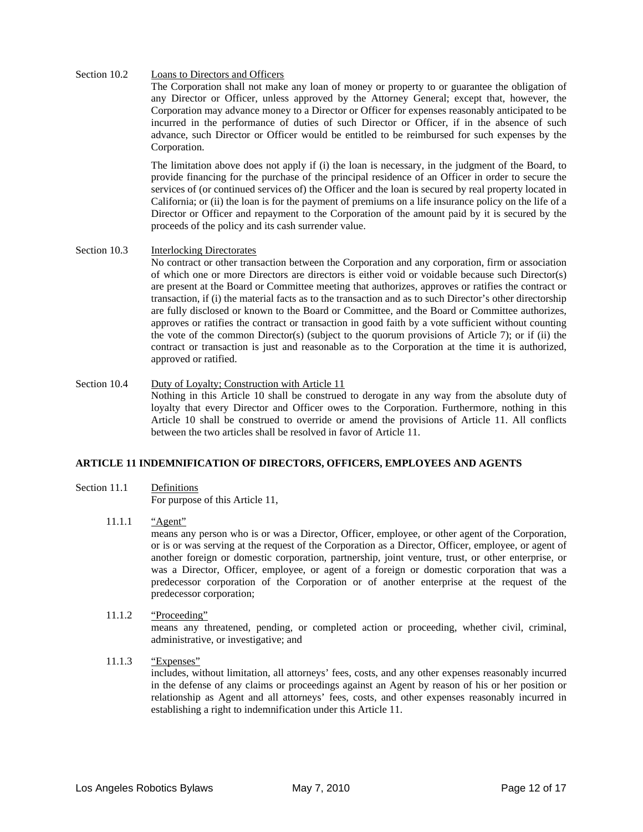#### Section 10.2 Loans to Directors and Officers

The Corporation shall not make any loan of money or property to or guarantee the obligation of any Director or Officer, unless approved by the Attorney General; except that, however, the Corporation may advance money to a Director or Officer for expenses reasonably anticipated to be incurred in the performance of duties of such Director or Officer, if in the absence of such advance, such Director or Officer would be entitled to be reimbursed for such expenses by the Corporation.

The limitation above does not apply if (i) the loan is necessary, in the judgment of the Board, to provide financing for the purchase of the principal residence of an Officer in order to secure the services of (or continued services of) the Officer and the loan is secured by real property located in California; or (ii) the loan is for the payment of premiums on a life insurance policy on the life of a Director or Officer and repayment to the Corporation of the amount paid by it is secured by the proceeds of the policy and its cash surrender value.

#### Section 10.3 Interlocking Directorates

No contract or other transaction between the Corporation and any corporation, firm or association of which one or more Directors are directors is either void or voidable because such Director(s) are present at the Board or Committee meeting that authorizes, approves or ratifies the contract or transaction, if (i) the material facts as to the transaction and as to such Director's other directorship are fully disclosed or known to the Board or Committee, and the Board or Committee authorizes, approves or ratifies the contract or transaction in good faith by a vote sufficient without counting the vote of the common Director(s) (subject to the quorum provisions of Article 7); or if (ii) the contract or transaction is just and reasonable as to the Corporation at the time it is authorized, approved or ratified.

Section 10.4 Duty of Loyalty; Construction with Article 11 Nothing in this Article 10 shall be construed to derogate in any way from the absolute duty of loyalty that every Director and Officer owes to the Corporation. Furthermore, nothing in this Article 10 shall be construed to override or amend the provisions of Article 11. All conflicts between the two articles shall be resolved in favor of Article 11.

#### **ARTICLE 11 INDEMNIFICATION OF DIRECTORS, OFFICERS, EMPLOYEES AND AGENTS**

#### Section 11.1 Definitions

For purpose of this Article 11,

- 11.1.1 "Agent" means any person who is or was a Director, Officer, employee, or other agent of the Corporation, or is or was serving at the request of the Corporation as a Director, Officer, employee, or agent of another foreign or domestic corporation, partnership, joint venture, trust, or other enterprise, or was a Director, Officer, employee, or agent of a foreign or domestic corporation that was a predecessor corporation of the Corporation or of another enterprise at the request of the predecessor corporation;
- 11.1.2 "Proceeding"

means any threatened, pending, or completed action or proceeding, whether civil, criminal, administrative, or investigative; and

11.1.3 "Expenses"

includes, without limitation, all attorneys' fees, costs, and any other expenses reasonably incurred in the defense of any claims or proceedings against an Agent by reason of his or her position or relationship as Agent and all attorneys' fees, costs, and other expenses reasonably incurred in establishing a right to indemnification under this Article 11.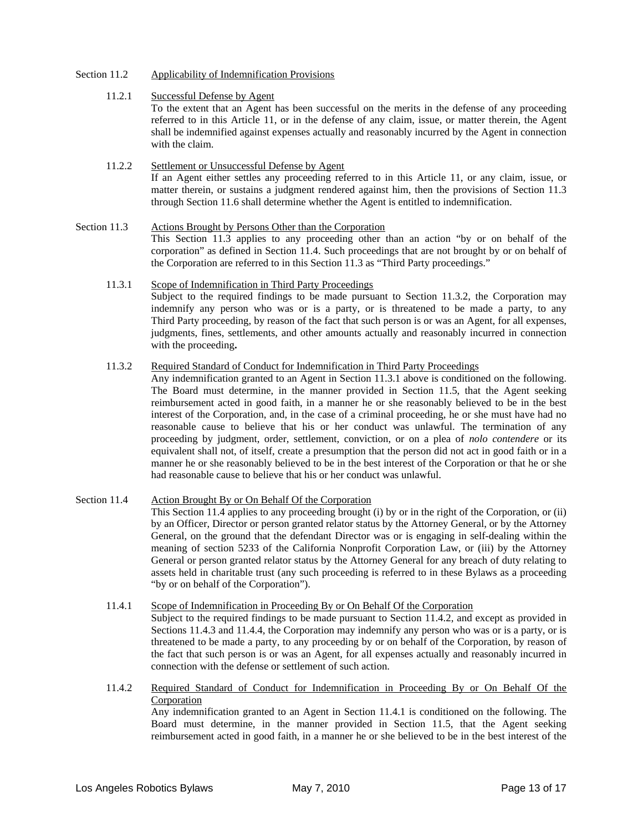#### Section 11.2 Applicability of Indemnification Provisions

#### 11.2.1 Successful Defense by Agent

To the extent that an Agent has been successful on the merits in the defense of any proceeding referred to in this Article 11, or in the defense of any claim, issue, or matter therein, the Agent shall be indemnified against expenses actually and reasonably incurred by the Agent in connection with the claim.

#### 11.2.2 Settlement or Unsuccessful Defense by Agent If an Agent either settles any proceeding referred to in this Article 11, or any claim, issue, or matter therein, or sustains a judgment rendered against him, then the provisions of Section 11.3 through Section 11.6 shall determine whether the Agent is entitled to indemnification.

Section 11.3 Actions Brought by Persons Other than the Corporation This Section 11.3 applies to any proceeding other than an action "by or on behalf of the corporation" as defined in Section 11.4. Such proceedings that are not brought by or on behalf of the Corporation are referred to in this Section 11.3 as "Third Party proceedings."

#### 11.3.1 Scope of Indemnification in Third Party Proceedings Subject to the required findings to be made pursuant to Section 11.3.2, the Corporation may indemnify any person who was or is a party, or is threatened to be made a party, to any Third Party proceeding, by reason of the fact that such person is or was an Agent, for all expenses, judgments, fines, settlements, and other amounts actually and reasonably incurred in connection with the proceeding**.**

#### 11.3.2 Required Standard of Conduct for Indemnification in Third Party Proceedings

Any indemnification granted to an Agent in Section 11.3.1 above is conditioned on the following. The Board must determine, in the manner provided in Section 11.5, that the Agent seeking reimbursement acted in good faith, in a manner he or she reasonably believed to be in the best interest of the Corporation, and, in the case of a criminal proceeding, he or she must have had no reasonable cause to believe that his or her conduct was unlawful. The termination of any proceeding by judgment, order, settlement, conviction, or on a plea of *nolo contendere* or its equivalent shall not, of itself, create a presumption that the person did not act in good faith or in a manner he or she reasonably believed to be in the best interest of the Corporation or that he or she had reasonable cause to believe that his or her conduct was unlawful.

#### Section 11.4 Action Brought By or On Behalf Of the Corporation This Section 11.4 applies to any proceeding brought (i) by or in the right of the Corporation, or (ii) by an Officer, Director or person granted relator status by the Attorney General, or by the Attorney General, on the ground that the defendant Director was or is engaging in self-dealing within the meaning of section 5233 of the California Nonprofit Corporation Law, or (iii) by the Attorney General or person granted relator status by the Attorney General for any breach of duty relating to assets held in charitable trust (any such proceeding is referred to in these Bylaws as a proceeding "by or on behalf of the Corporation").

#### 11.4.1 Scope of Indemnification in Proceeding By or On Behalf Of the Corporation Subject to the required findings to be made pursuant to Section 11.4.2, and except as provided in Sections 11.4.3 and 11.4.4, the Corporation may indemnify any person who was or is a party, or is threatened to be made a party, to any proceeding by or on behalf of the Corporation, by reason of the fact that such person is or was an Agent, for all expenses actually and reasonably incurred in connection with the defense or settlement of such action.

#### 11.4.2 Required Standard of Conduct for Indemnification in Proceeding By or On Behalf Of the Corporation

Any indemnification granted to an Agent in Section 11.4.1 is conditioned on the following. The Board must determine, in the manner provided in Section 11.5, that the Agent seeking reimbursement acted in good faith, in a manner he or she believed to be in the best interest of the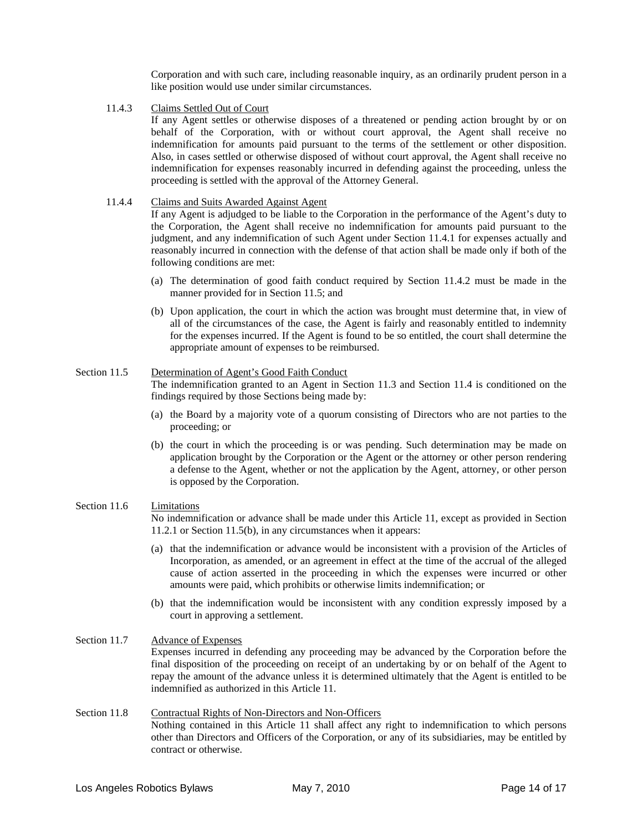Corporation and with such care, including reasonable inquiry, as an ordinarily prudent person in a like position would use under similar circumstances.

11.4.3 Claims Settled Out of Court

If any Agent settles or otherwise disposes of a threatened or pending action brought by or on behalf of the Corporation, with or without court approval, the Agent shall receive no indemnification for amounts paid pursuant to the terms of the settlement or other disposition. Also, in cases settled or otherwise disposed of without court approval, the Agent shall receive no indemnification for expenses reasonably incurred in defending against the proceeding, unless the proceeding is settled with the approval of the Attorney General.

#### 11.4.4 Claims and Suits Awarded Against Agent

If any Agent is adjudged to be liable to the Corporation in the performance of the Agent's duty to the Corporation, the Agent shall receive no indemnification for amounts paid pursuant to the judgment, and any indemnification of such Agent under Section 11.4.1 for expenses actually and reasonably incurred in connection with the defense of that action shall be made only if both of the following conditions are met:

- (a) The determination of good faith conduct required by Section 11.4.2 must be made in the manner provided for in Section 11.5; and
- (b) Upon application, the court in which the action was brought must determine that, in view of all of the circumstances of the case, the Agent is fairly and reasonably entitled to indemnity for the expenses incurred. If the Agent is found to be so entitled, the court shall determine the appropriate amount of expenses to be reimbursed.

#### Section 11.5 Determination of Agent's Good Faith Conduct

The indemnification granted to an Agent in Section 11.3 and Section 11.4 is conditioned on the findings required by those Sections being made by:

- (a) the Board by a majority vote of a quorum consisting of Directors who are not parties to the proceeding; or
- (b) the court in which the proceeding is or was pending. Such determination may be made on application brought by the Corporation or the Agent or the attorney or other person rendering a defense to the Agent, whether or not the application by the Agent, attorney, or other person is opposed by the Corporation.

#### Section 11.6 Limitations

No indemnification or advance shall be made under this Article 11, except as provided in Section 11.2.1 or Section 11.5(b), in any circumstances when it appears:

- (a) that the indemnification or advance would be inconsistent with a provision of the Articles of Incorporation, as amended, or an agreement in effect at the time of the accrual of the alleged cause of action asserted in the proceeding in which the expenses were incurred or other amounts were paid, which prohibits or otherwise limits indemnification; or
- (b) that the indemnification would be inconsistent with any condition expressly imposed by a court in approving a settlement.
- Section 11.7 Advance of Expenses Expenses incurred in defending any proceeding may be advanced by the Corporation before the final disposition of the proceeding on receipt of an undertaking by or on behalf of the Agent to repay the amount of the advance unless it is determined ultimately that the Agent is entitled to be indemnified as authorized in this Article 11.
- Section 11.8 Contractual Rights of Non-Directors and Non-Officers Nothing contained in this Article 11 shall affect any right to indemnification to which persons other than Directors and Officers of the Corporation, or any of its subsidiaries, may be entitled by contract or otherwise.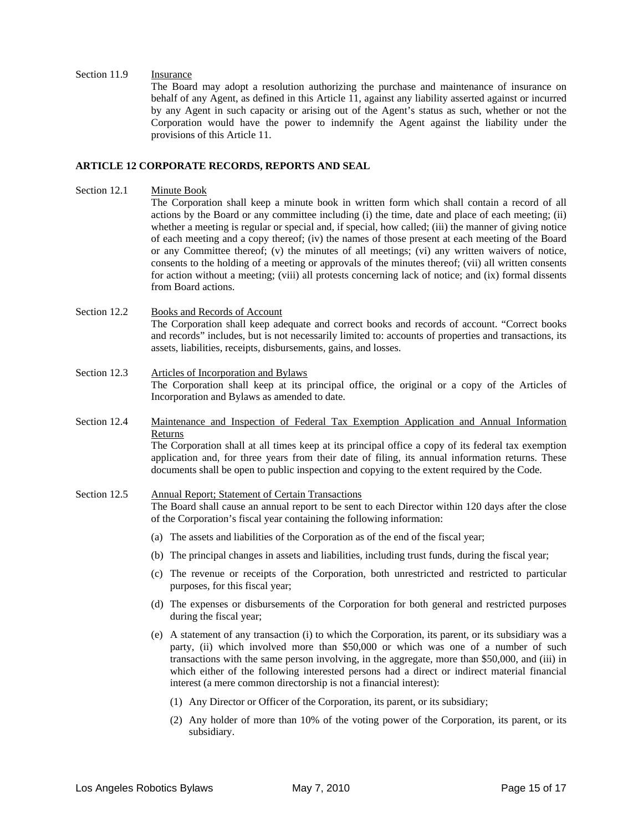#### Section 11.9 Insurance

The Board may adopt a resolution authorizing the purchase and maintenance of insurance on behalf of any Agent, as defined in this Article 11, against any liability asserted against or incurred by any Agent in such capacity or arising out of the Agent's status as such, whether or not the Corporation would have the power to indemnify the Agent against the liability under the provisions of this Article 11.

#### **ARTICLE 12 CORPORATE RECORDS, REPORTS AND SEAL**

- Section 12.1 Minute Book The Corporation shall keep a minute book in written form which shall contain a record of all actions by the Board or any committee including (i) the time, date and place of each meeting; (ii) whether a meeting is regular or special and, if special, how called; (iii) the manner of giving notice of each meeting and a copy thereof; (iv) the names of those present at each meeting of the Board or any Committee thereof; (v) the minutes of all meetings; (vi) any written waivers of notice, consents to the holding of a meeting or approvals of the minutes thereof; (vii) all written consents for action without a meeting; (viii) all protests concerning lack of notice; and (ix) formal dissents from Board actions.
- Section 12.2 Books and Records of Account The Corporation shall keep adequate and correct books and records of account. "Correct books and records" includes, but is not necessarily limited to: accounts of properties and transactions, its assets, liabilities, receipts, disbursements, gains, and losses.
- Section 12.3 Articles of Incorporation and Bylaws The Corporation shall keep at its principal office, the original or a copy of the Articles of Incorporation and Bylaws as amended to date.
- Section 12.4 Maintenance and Inspection of Federal Tax Exemption Application and Annual Information Returns The Corporation shall at all times keep at its principal office a copy of its federal tax exemption application and, for three years from their date of filing, its annual information returns. These documents shall be open to public inspection and copying to the extent required by the Code.

#### Section 12.5 Annual Report; Statement of Certain Transactions The Board shall cause an annual report to be sent to each Director within 120 days after the close of the Corporation's fiscal year containing the following information:

- (a) The assets and liabilities of the Corporation as of the end of the fiscal year;
- (b) The principal changes in assets and liabilities, including trust funds, during the fiscal year;
- (c) The revenue or receipts of the Corporation, both unrestricted and restricted to particular purposes, for this fiscal year;
- (d) The expenses or disbursements of the Corporation for both general and restricted purposes during the fiscal year;
- (e) A statement of any transaction (i) to which the Corporation, its parent, or its subsidiary was a party, (ii) which involved more than \$50,000 or which was one of a number of such transactions with the same person involving, in the aggregate, more than \$50,000, and (iii) in which either of the following interested persons had a direct or indirect material financial interest (a mere common directorship is not a financial interest):
	- (1) Any Director or Officer of the Corporation, its parent, or its subsidiary;
	- (2) Any holder of more than 10% of the voting power of the Corporation, its parent, or its subsidiary.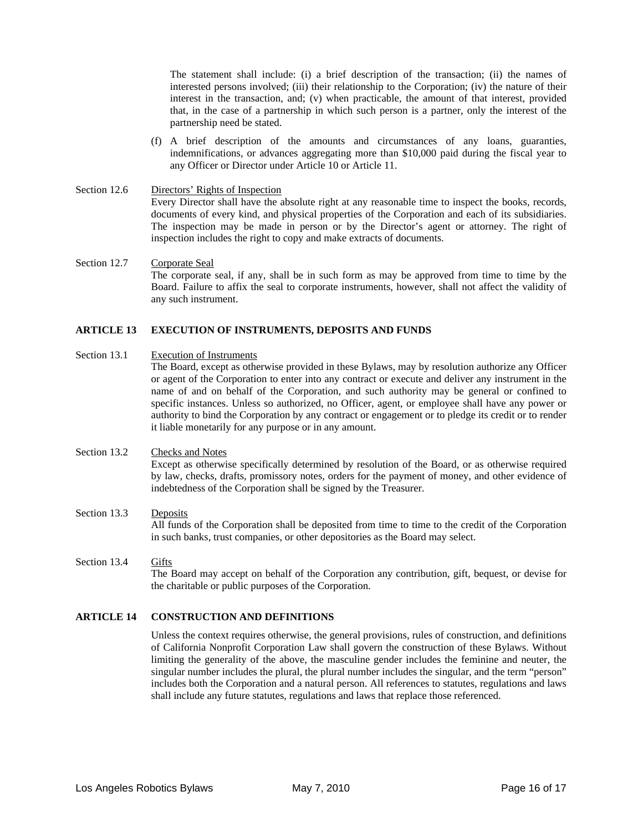The statement shall include: (i) a brief description of the transaction; (ii) the names of interested persons involved; (iii) their relationship to the Corporation; (iv) the nature of their interest in the transaction, and; (v) when practicable, the amount of that interest, provided that, in the case of a partnership in which such person is a partner, only the interest of the partnership need be stated.

(f) A brief description of the amounts and circumstances of any loans, guaranties, indemnifications, or advances aggregating more than \$10,000 paid during the fiscal year to any Officer or Director under Article 10 or Article 11.

#### Section 12.6 Directors' Rights of Inspection Every Director shall have the absolute right at any reasonable time to inspect the books, records, documents of every kind, and physical properties of the Corporation and each of its subsidiaries. The inspection may be made in person or by the Director's agent or attorney. The right of inspection includes the right to copy and make extracts of documents.

#### Section 12.7 Corporate Seal The corporate seal, if any, shall be in such form as may be approved from time to time by the Board. Failure to affix the seal to corporate instruments, however, shall not affect the validity of any such instrument.

#### **ARTICLE 13 EXECUTION OF INSTRUMENTS, DEPOSITS AND FUNDS**

#### Section 13.1 Execution of Instruments The Board, except as otherwise provided in these Bylaws, may by resolution authorize any Officer or agent of the Corporation to enter into any contract or execute and deliver any instrument in the name of and on behalf of the Corporation, and such authority may be general or confined to specific instances. Unless so authorized, no Officer, agent, or employee shall have any power or authority to bind the Corporation by any contract or engagement or to pledge its credit or to render it liable monetarily for any purpose or in any amount.

#### Section 13.2 Checks and Notes

Except as otherwise specifically determined by resolution of the Board, or as otherwise required by law, checks, drafts, promissory notes, orders for the payment of money, and other evidence of indebtedness of the Corporation shall be signed by the Treasurer.

## Section 13.3 Deposits All funds of the Corporation shall be deposited from time to time to the credit of the Corporation in such banks, trust companies, or other depositories as the Board may select.

#### Section 13.4 Gifts The Board may accept on behalf of the Corporation any contribution, gift, bequest, or devise for the charitable or public purposes of the Corporation.

#### **ARTICLE 14 CONSTRUCTION AND DEFINITIONS**

Unless the context requires otherwise, the general provisions, rules of construction, and definitions of California Nonprofit Corporation Law shall govern the construction of these Bylaws. Without limiting the generality of the above, the masculine gender includes the feminine and neuter, the singular number includes the plural, the plural number includes the singular, and the term "person" includes both the Corporation and a natural person. All references to statutes, regulations and laws shall include any future statutes, regulations and laws that replace those referenced.